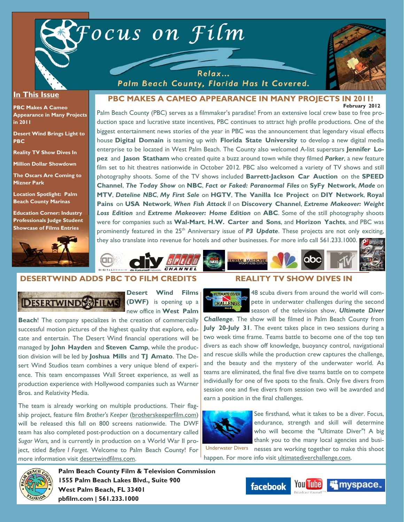



#### **In This Issue**

**PBC Makes A Cameo Appearance in Many Projects in 2011** 

**Desert Wind Brings Light to PBC** 

**Reality TV Show Dives In** 

**Million Dollar Showdown** 

**The Oscars Are Coming to Mizner Park** 

**Location Spotlight: Palm Beach County Marinas** 

**Education Corner: Industry Professionals Judge Student Showcase of Films Entries**



#### **February 2012 PBC MAKES A CAMEO APPEARANCE IN MANY PROJECTS IN 2011!**

Palm Beach County, Florida Has It Covered.

Palm Beach County (PBC) serves as a filmmaker's paradise! From an extensive local crew base to free production space and lucrative state incentives, PBC continues to attract high profile productions. One of the biggest entertainment news stories of the year in PBC was the announcement that legendary visual effects house **Digital Domain** is teaming up with **Florida State University** to develop a new digital media enterprise to be located in West Palm Beach. The County also welcomed A-list superstars **Jennifer Lopez** and **Jason Statham** who created quite a buzz around town while they filmed *Parker*, a new feature film set to hit theatres nationwide in October 2012. PBC also welcomed a variety of TV shows and still photography shoots. Some of the TV shows included **Barrett-Jackson Car Auction** on the **SPEED Channel**, *The Today Show* on **NBC**, *Fact or Faked: Paranormal Files* on **SyFy Network**, *Made* on **MTV**, *Dateline NBC*, *My First Sale* on **HGTV**, **The Vanilla Ice Project** on **DIY Network**, **Royal Pains** on **USA Network**, *When Fish Attack II* on **Discovery Channel**, *Extreme Makeover: Weight Loss Edition* and *Extreme Makeover: Home Edition* on **ABC**. Some of the still photography shoots were for companies such as **Wal-Mart**, **H.W. Carter and Sons**, and **Horizon Yachts**, and PBC was prominently featured in the 25<sup>th</sup> Anniversary issue of **P3 Update**. These projects are not only exciting, they also translate into revenue for hotels and other businesses. For more info call 561.233.1000.



# **DESERTWIND ADDS PBC TO FILM CREDITS**



**Desert Wind Films (DWF)** is opening up a new office in **West Palm** 

**Beach**! The company specializes in the creation of commercially successful motion pictures of the highest quality that explore, educate and entertain. The Desert Wind financial operations will be managed by **John Hayden** and **Steven Camp**, while the production division will be led by **Joshua Mills** and **TJ Amato**. The Desert Wind Studios team combines a very unique blend of experience. This team encompasses Wall Street experience, as well as production experience with Hollywood companies such as Warner Bros. and Relativity Media.

The team is already working on multiple productions. Their flagship project, feature film *Brother's Keeper* (brotherskeeperfilm.com) will be released this fall on 800 screens nationwide. The DWF team has also completed post-production on a documentary called *Sugar Wars,* and is currently in production on a World War II project, titled *Before I Forget*. Welcome to Palm Beach County! For more information visit desertwindfilms.com.

#### **REALITY TV SHOW DIVES IN**



48 scuba divers from around the world will compete in underwater challenges during the second season of the television show, *Ultimate Diver* 

*Challenge*. The show will be filmed in Palm Beach County from **July 20-July 31**. The event takes place in two sessions during a two week time frame. Teams battle to become one of the top ten divers as each show off knowledge, buoyancy control, navigational and rescue skills while the production crew captures the challenge, and the beauty and the mystery of the underwater world. As teams are eliminated, the final five dive teams battle on to compete individually for one of five spots to the finals. Only five divers from session one and five divers from session two will be awarded and earn a position in the final challenges.



See firsthand, what it takes to be a diver. Focus, endurance, strength and skill will determine who will become the "Ultimate Diver"! A big thank you to the many local agencies and busi-

Underwater Divers nesses are working together to make this shoot

happen. For more info visit ultimatediverchallenge.com.



**Palm Beach County Film & Television Commission 1555 Palm Beach Lakes Blvd., Suite 900 West Palm Beach, FL 33401 pbfilm.com | 561.233.1000** 

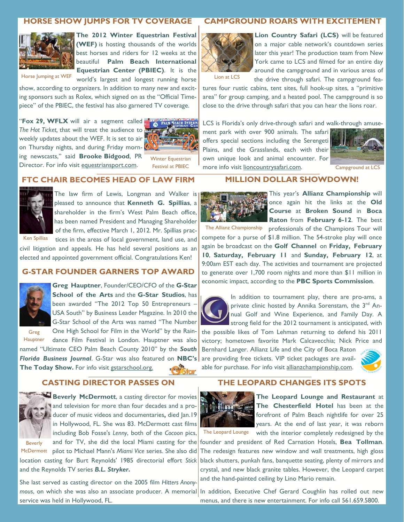# **HORSE SHOW JUMPS FOR TV COVERAGE**



**The 2012 Winter Equestrian Festival (WEF)** is hosting thousands of the worlds best horses and riders for 12 weeks at the beautiful **Palm Beach International Equestrian Center (PBIEC)**. It is the

Horse Jumping at WEF

world's largest and longest running horse show, according to organizers. In addition to many new and exciting sponsors such as Rolex, which signed on as the "Official Timepiece" of the PBIEC, the festival has also garnered TV coverage.

"**Fox 29, WFLX** will air a segment called *The Hot Ticket,* that will treat the audience to weekly updates about the WEF. It is set to air on Thursday nights, and during Friday morning newscasts," said **Brooke Bidgood**, PR ing newscasts, said **Brooke Bidgood**, PK Winter Equestrian<br>Director. For info visit equestriansport.com. Festival at PBIFC



Festival at PBIEC

#### **FTC CHAIR BECOMES HEAD OF LAW FIRM**



The law firm of Lewis, Longman and Walker is pleased to announce that **Kenneth G. Spillias**, a shareholder in the firm's West Palm Beach office, has been named President and Managing Shareholder of the firm, effective March 1, 2012. Mr. Spillias prac-

Ken Spillias tices in the areas of local government, land use, and civil litigation and appeals. He has held several positions as an elected and appointed government official. Congratulations Ken!

#### **G-STAR FOUNDER GARNERS TOP AWARD**



**Greg Hauptner**, Founder/CEO/CFO of the **G-Star School of the Arts** and the **G-Star Studios**, has been awarded "The 2012 Top 50 Entrepreneurs – USA South" by Business Leader Magazine. In 2010 the

Greg **Hauptner** 

G-Star School of the Arts was named "The Number One High School for Film in the World" by the Raindance Film Festival in London. Hauptner was also named "Ultimate CEO Palm Beach County 2010" by the *South* 

*Florida Business Journal*. G-Star was also featured on **NBC's The Today Show.** For info visit gstarschool.org.

#### **CASTING DIRECTOR PASSES ON**



**Beverly McDermott**, a casting director for movies and television for more than four decades and a producer of music videos and documentaries**,** died Jan.19 in Hollywood, FL. She was 83. McDermott cast films including Bob Fosse's *Lenny*, both of the *Cocoon* pics, and for TV, she did the local Miami casting for the

Beverly

McDermott pilot to Michael Mann's Miami Vice series. She also did location casting for Burt Reynolds' 1985 directorial effort *Stick* and the Reynolds TV series *B.L. Stryker***.** 

mous, on which she was also an associate producer. A memorial<sup>1</sup> In addition, Executive Chef Gerard Coughlin has rolled out new She last served as casting director on the 2005 film *Hitters Anony*service was held in Hollywood, FL.

### **CAMPGROUND ROARS WITH EXCITEMENT**



**Lion Country Safari (LCS)** will be featured on a major cable network's countdown series later this year! The production team from New York came to LCS and filmed for an entire day around the campground and in various areas of the drive through safari. The campground fea-

Lion at LCS

tures four rustic cabins, tent sites, full hook-up sites, a "primitive area" for group camping, and a heated pool. The campground is so close to the drive through safari that you can hear the lions roar.

LCS is Florida's only drive-through safari and walk-through amuse-

**MILLION DOLLAR SHOWDOWN!** 

ment park with over 900 animals. The safari offers special sections including the Serengeti Plains, and the Grasslands, each with their own unique look and animal encounter. For more info visit lioncountrysafari.com.



Campground at LCS



This year's **Allianz Championship** will once again hit the links at the **Old Course** at **Broken Sound** in **Boca Raton** from **February 6-12**. The best

professionals of the Champions Tour will compete for a purse of \$1.8 million. The 54-stroke play will once again be broadcast on the **Golf Channel** on **Friday, February 10**, **Saturday, February 11** and **Sunday, February 12**, at 9:00am EST each day. The activities and tournament are projected to generate over 1,700 room nights and more than \$11 million in economic impact, according to the **PBC Sports Commission**. The Allianz Championship



In addition to tournament play, there are pro-ams, a private clinic hosted by Annika Sorenstam, the 3<sup>nd</sup> Annual Golf and Wine Experience, and Family Day. A strong field for the 2012 tournament is anticipated, with

the possible likes of Tom Lehman returning to defend his 2011 victory; hometown favorite Mark Calcavecchia; Nick Price and Bernhard Langer. Allianz Life and the City of Boca Raton are providing free tickets. VIP ticket packages are avail-

able for purchase. For info visit allianzchampionship.com.



#### **THE LEOPARD CHANGES ITS SPOTS**



**The Leopard Lounge and Restaurant** at **The Chesterfield Hotel** has been at the forefront of Palm Beach nightlife for over 25 years. At the end of last year, it was reborn

The Leopard Lounge with the interior completely redesigned by the

founder and president of Red Carnation Hotels, **Bea Tollman**. The redesign features new window and wall treatments, high gloss black shutters, punkah fans, banquette seating, plenty of mirrors and crystal, and new black granite tables. However, the Leopard carpet and the hand-painted ceiling by Lino Mario remain.

menus, and there is new entertainment. For info call 561.659.5800.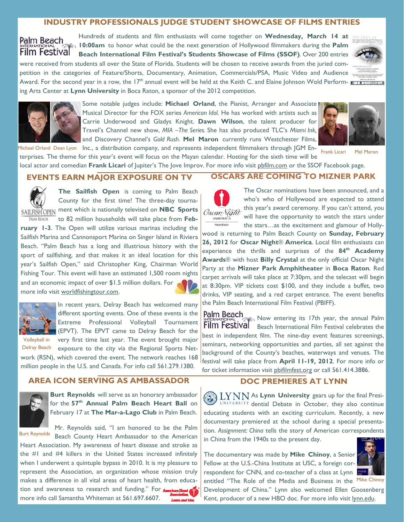### **INDUSTRY PROFESSIONALS JUDGE STUDENT SHOWCASE OF FILMS ENTRIES**

Hundreds of students and film enthusiasts will come together on **Wednesday, March 14 at**  Palm Beach **10:00am** to honor what could be the next generation of Hollywood filmmakers during the **Palm**  Film Festival **Beach International Film Festival's Students Showcase of Films (SSOF)**. Over 200 entries were received from students all over the State of Florida. Students will be chosen to receive awards from the juried com-

petition in the categories of Feature/Shorts, Documentary, Animation, Commercials/PSA, Music Video and Audience Award. For the second year in a row, the 17<sup>th</sup> annual event will be held at the Keith C. and Elaine Johnson Wold Perform-

ing Arts Center at **Lynn University** in Boca Raton, a sponsor of the 2012 competition.



Some notable judges include: **Michael Orland**, the Pianist, Arranger and Associate Musical Director for the FOX series *American Idol*. He has worked with artists such as Carrie Underwood and Gladys Knight. **Dawn Wilson**, the talent producer for Travel's Channel new show, *MIA* –*The Series.* She has also produced TLC's *Miami Ink,*  and Discovery Channel's *Gold Rush*. **Mel Maron** currently runs Westchester Films, Michael Orland Dean Lyon Inc., a distribution company, and represents independent filmmakers through JGM En-<br>Frank Licari Mel Maron Michael Orland Dean Lyon Michael Orland Dean Licari Mel Maron Michael Orland Dean Licar



local actor and comedian **Frank Licari** of Jupiter's The Jove Improv. For more info visit pbfilm.com or the SSOF Facebook page.

terprises. The theme for this year's event will focus on the Mayan calendar. Hosting for the sixth time will be

### **EVENTS EARN MAJOR EXPOSURE ON TV**



**The Sailfish Open** is coming to Palm Beach County for the first time! The three-day tourna-SAILFISH OPEN ment which is nationally televised on **NBC Sports** 

to 82 million households will take place from **Feb-**PALM BEACH **ruary 1-3**. The Open will utilize various marinas including the Sailfish Marina and Cannonsport Marina on Singer Island in Riviera Beach. "Palm Beach has a long and illustrious history with the sport of sailfishing, and that makes it an ideal location for this year's Sailfish Open," said Christopher King, Chairman World Fishing Tour. This event will have an estimated 1,500 room nights and an economic impact of over \$1.5 million dollars. For more info visit worldfishingtour.com.



Volleyball in

In recent years, Delray Beach has welcomed many different sporting events. One of these events is the Extreme Professional Volleyball Tournament (EPVT). The EPVT came to Delray Beach for the very first time last year. The event brought major

exposure to the city via the Regional Sports Network (RSN), which covered the event. The network reaches 168 million people in the U.S. and Canada. For info call 561.279.1380. Delray Beach

## **AREA ICON SERVING AS AMBASSADOR**



**Burt Reynolds** will serve as an honorary ambassador for the **57th Annual Palm Beach Heart Ball** on February 17 at **The Mar-a-Lago Club** in Palm Beach.

Mr. Reynolds said, "I am honored to be the Palm Burt Reynolds Beach County Heart Ambassador to the American Heart Association. My awareness of heart disease and stroke as the #1 and #4 killers in the United States increased infinitely when I underwent a quintuple bypass in 2010. It is my pleasure to represent the Association, an organization whose mission truly makes a difference in all vital areas of heart health, from education and awareness to research and funding." For more info call Samantha Whiteman at 561.697.6607. **Learn and Live** 

#### **OSCARS ARE COMING TO MIZNER PARK**



The Oscar nominations have been announced, and a who's who of Hollywood are expected to attend this year's award ceremony. If you can't attend, you will have the opportunity to watch the stars under the stars…as the excitement and glamour of Holly-

wood is returning to Palm Beach County on **Sunday, February 26, 2012** for **Oscar Night**® **America**. Local film enthusiasts can experience the thrills and surprises of the **84th Academy Awards**® with host **Billy Crystal** at the only official Oscar Night Party at the **Mizner Park Amphitheater** in **Boca Raton**. Red carpet arrivals will take place at 7:30pm, and the telecast will begin at 8:30pm. VIP tickets cost \$100, and they include a buffet, two drinks, VIP seating, and a red carpet entrance. The event benefits the Palm Beach International Film Festival (PBIFF).

Now entering its 17th year, the annual Palm Film Festival Beach International Film Festival celebrates the best in independent film. The nine-day event features screenings, seminars, networking opportunities and parties, all set against the background of the County's beaches, waterways and venues. The festival will take place from **April 11-19, 2012**. For more info or for ticket information visit pbifilmfest.org or call 561.414.3886.

### **DOC PREMIERES AT LYNN**

 $\Lambda$   $\rm LYNN$  As Lynn University gears up for the final Presi-UNIVERSITY dential Debate in October, they also continue educating students with an exciting curriculum. Recently, a new documentary premiered at the school during a special presentation. *Assignment: China* tells the story of American correspondents in China from the 1940s to the present day.

The documentary was made by **Mike Chinoy**, a Senior Fellow at the U.S.-China Institute at USC, a foreign correspondent for CNN, and co-teacher of a class at Lynn